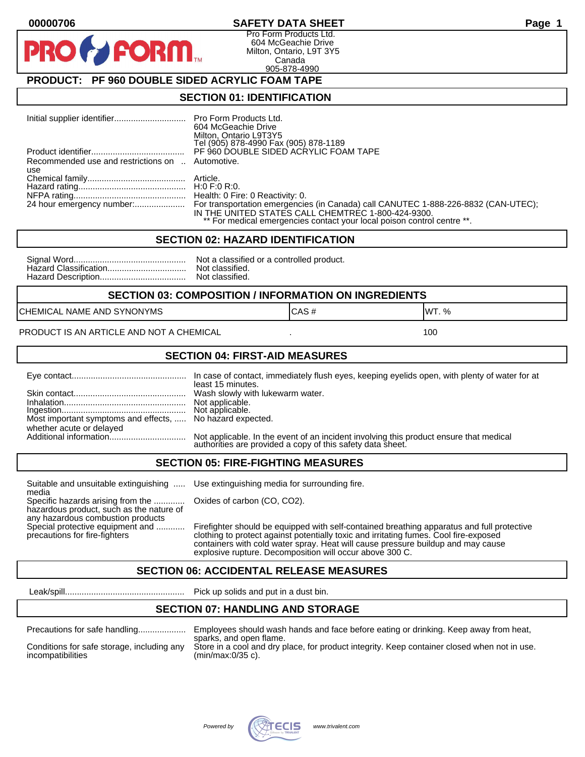#### **00000706 SAFETY DATA SHEET Page 1**

Pro Form Products Ltd. 604 McGeachie Drive Milton, Ontario, L9T 3Y5 Canada 905-878-4990

## **PRODUCT: PF 960 DOUBLE SIDED ACRYLIC FOAM TAPE**

**FORM** 

#### **SECTION 01: IDENTIFICATION**

|                                                         | 604 McGeachie Drive<br>Milton, Ontario L9T3Y5<br>Tel (905) 878-4990 Fax (905) 878-1189                                                                                                                                                        |
|---------------------------------------------------------|-----------------------------------------------------------------------------------------------------------------------------------------------------------------------------------------------------------------------------------------------|
|                                                         | PF 960 DOUBLE SIDED ACRYLIC FOAM TAPE                                                                                                                                                                                                         |
| Recommended use and restrictions on  Automotive.<br>use |                                                                                                                                                                                                                                               |
|                                                         |                                                                                                                                                                                                                                               |
|                                                         |                                                                                                                                                                                                                                               |
|                                                         | 24 hour emergency number: For transportation emergencies (in Canada) call CANUTEC 1-888-226-8832 (CAN-UTEC);<br>IN THE UNITED STATES CALL CHEMTREC 1-800-424-9300.<br>** For medical emergencies contact your local poison control centre **. |

#### **SECTION 02: HAZARD IDENTIFICATION**

| Nc |
|----|
| No |
| No |

ot a classified or a controlled product. ot classified. ot classified.

#### **SECTION 03: COMPOSITION / INFORMATION ON INGREDIENTS**

CHEMICAL NAME AND SYNONYMS GAS AND CAS # CAS # WT. %

#### PRODUCT IS AN ARTICLE AND NOT A CHEMICAL **AND THE SET AND A SET ALL ASSAULT** 100

#### **SECTION 04: FIRST-AID MEASURES**

|                                                                                       | least 15 minutes.                                                                                                                                 |
|---------------------------------------------------------------------------------------|---------------------------------------------------------------------------------------------------------------------------------------------------|
|                                                                                       | Not applicable.                                                                                                                                   |
| Most important symptoms and effects,  No hazard expected.<br>whether acute or delayed |                                                                                                                                                   |
|                                                                                       | Not applicable. In the event of an incident involving this product ensure that medical authorities are provided a copy of this safety data sheet. |

#### **SECTION 05: FIRE-FIGHTING MEASURES**

Suitable and unsuitable extinguishing ..... Use extinguishing media for surrounding fire. media

Specific hazards arising from the ............. Oxides of carbon (CO, CO2). hazardous product, such as the nature of any hazardous combustion products

Special protective equipment and ............ Firefighter should be equipped with self-contained breathing apparatus and full protective<br>precautions for fire-fighters continent clothing to protect against potentially toxic clothing to protect against potentially toxic and irritating fumes. Cool fire-exposed containers with cold water spray. Heat will cause pressure buildup and may cause explosive rupture. Decomposition will occur above 300 C.

### **SECTION 06: ACCIDENTAL RELEASE MEASURES**

Leak/spill.................................................. Pick up solids and put in a dust bin.

### **SECTION 07: HANDLING AND STORAGE**

| Precautions for safe handling |  |  |
|-------------------------------|--|--|
|                               |  |  |

incompatibilities (min/max:0/35 c).

Precautions for safe handling.................... Employees should wash hands and face before eating or drinking. Keep away from heat, sparks, and open flame. Conditions for safe storage, including any Store in a cool and dry place, for product integrity. Keep container closed when not in use.

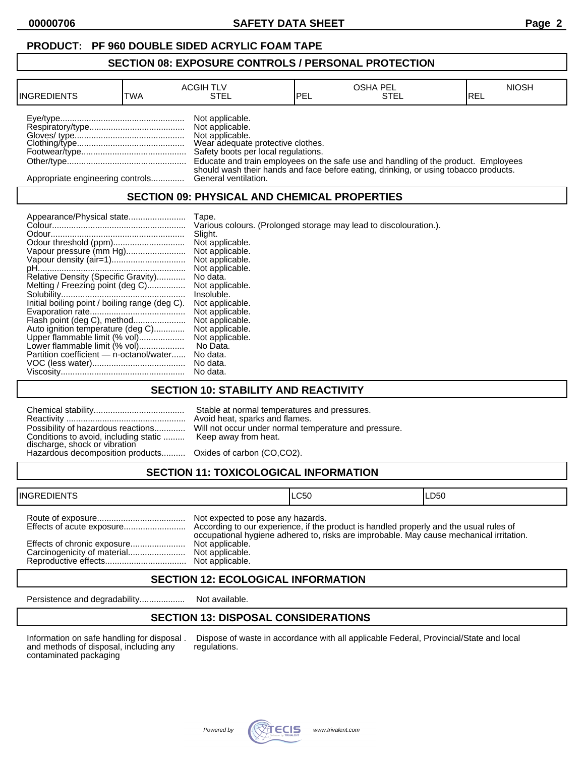## **PRODUCT: PF 960 DOUBLE SIDED ACRYLIC FOAM TAPE**

#### **SECTION 08: EXPOSURE CONTROLS / PERSONAL PROTECTION**

| <b>INGREDIENTS</b>               | TWA | <b>ACGIH TLV</b><br>STEL                                                                                                          | <b>IPEL</b> | <b>OSHA PEL</b><br>STEL                                                              | <b>NIOSH</b><br>IREL |
|----------------------------------|-----|-----------------------------------------------------------------------------------------------------------------------------------|-------------|--------------------------------------------------------------------------------------|----------------------|
|                                  |     | Not applicable.<br>Not applicable.<br>Not applicable.<br>Wear adequate protective clothes.<br>Safety boots per local regulations. |             | Educate and train employees on the safe use and handling of the product. Employees   |                      |
| Appropriate engineering controls |     | General ventilation.                                                                                                              |             | should wash their hands and face before eating, drinking, or using tobacco products. |                      |

## **SECTION 09: PHYSICAL AND CHEMICAL PROPERTIES**

| Appearance/Physical state                      | Tape.                                                             |
|------------------------------------------------|-------------------------------------------------------------------|
|                                                | Various colours. (Prolonged storage may lead to discolouration.). |
|                                                | Slight.                                                           |
| Odour threshold (ppm)                          | Not applicable.                                                   |
| Vapour pressure (mm Hg)                        | Not applicable.                                                   |
|                                                | Not applicable.                                                   |
|                                                | Not applicable.                                                   |
| Relative Density (Specific Gravity)            | No data.                                                          |
| Melting / Freezing point (deg C)               | Not applicable.                                                   |
|                                                | Insoluble.                                                        |
| Initial boiling point / boiling range (deg C). | Not applicable.                                                   |
|                                                | Not applicable.                                                   |
| Flash point (deg C), method                    | Not applicable.                                                   |
| Auto ignition temperature (deg C)              | Not applicable.                                                   |
| Upper flammable limit (% vol)                  | Not applicable.                                                   |
| Lower flammable limit (% vol)                  | No Data.                                                          |
| Partition coefficient - n-octanol/water        | No data.                                                          |
|                                                | No data.                                                          |
|                                                | No data.                                                          |

## **SECTION 10: STABILITY AND REACTIVITY**

| Conditions to avoid, including static  Keep away from heat.<br>discharge, shock or vibration<br>Hazardous decomposition products Oxides of carbon (CO,CO2). | Stable at normal temperatures and pressures.<br>Avoid heat, sparks and flames.<br>Possibility of hazardous reactions Will not occur under normal temperature and pressure. |
|-------------------------------------------------------------------------------------------------------------------------------------------------------------|----------------------------------------------------------------------------------------------------------------------------------------------------------------------------|
|                                                                                                                                                             |                                                                                                                                                                            |

# **SECTION 11: TOXICOLOGICAL INFORMATION**

| <b>INGREDIENTS</b>          |                                                                         | ILC50                                                                                   | ILD50 |
|-----------------------------|-------------------------------------------------------------------------|-----------------------------------------------------------------------------------------|-------|
| Effects of chronic exposure | Not expected to pose any hazards.<br>Not applicable.<br>Not applicable. | occupational hygiene adhered to, risks are improbable. May cause mechanical irritation. |       |

## **SECTION 12: ECOLOGICAL INFORMATION**

Persistence and degradability................... Not available.

## **SECTION 13: DISPOSAL CONSIDERATIONS**

and methods of disposal, including any contaminated packaging

Information on safe handling for disposal . Dispose of waste in accordance with all applicable Federal, Provincial/State and local